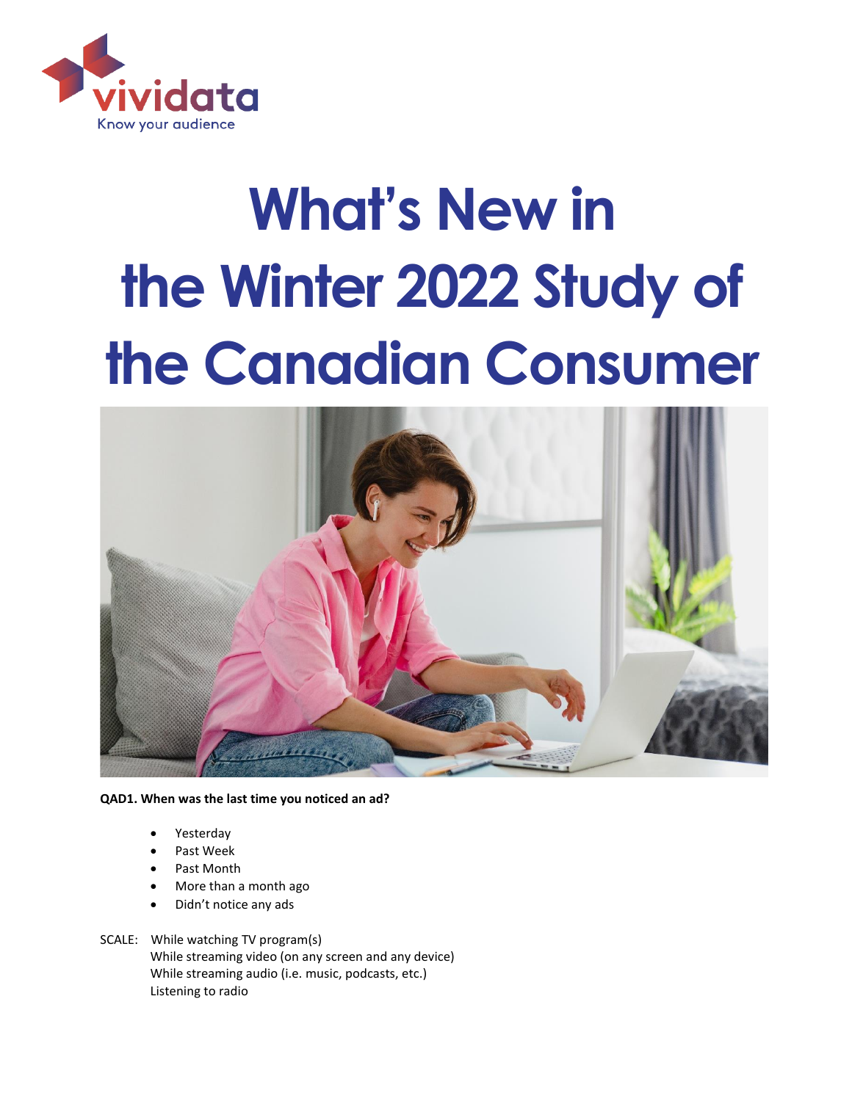

# **What's New in the Winter 2022 Study of the Canadian Consumer**



**QAD1. When was the last time you noticed an ad?** 

- Yesterday
- Past Week
- Past Month
- More than a month ago
- Didn't notice any ads
- SCALE: While watching TV program(s) While streaming video (on any screen and any device) While streaming audio (i.e. music, podcasts, etc.) Listening to radio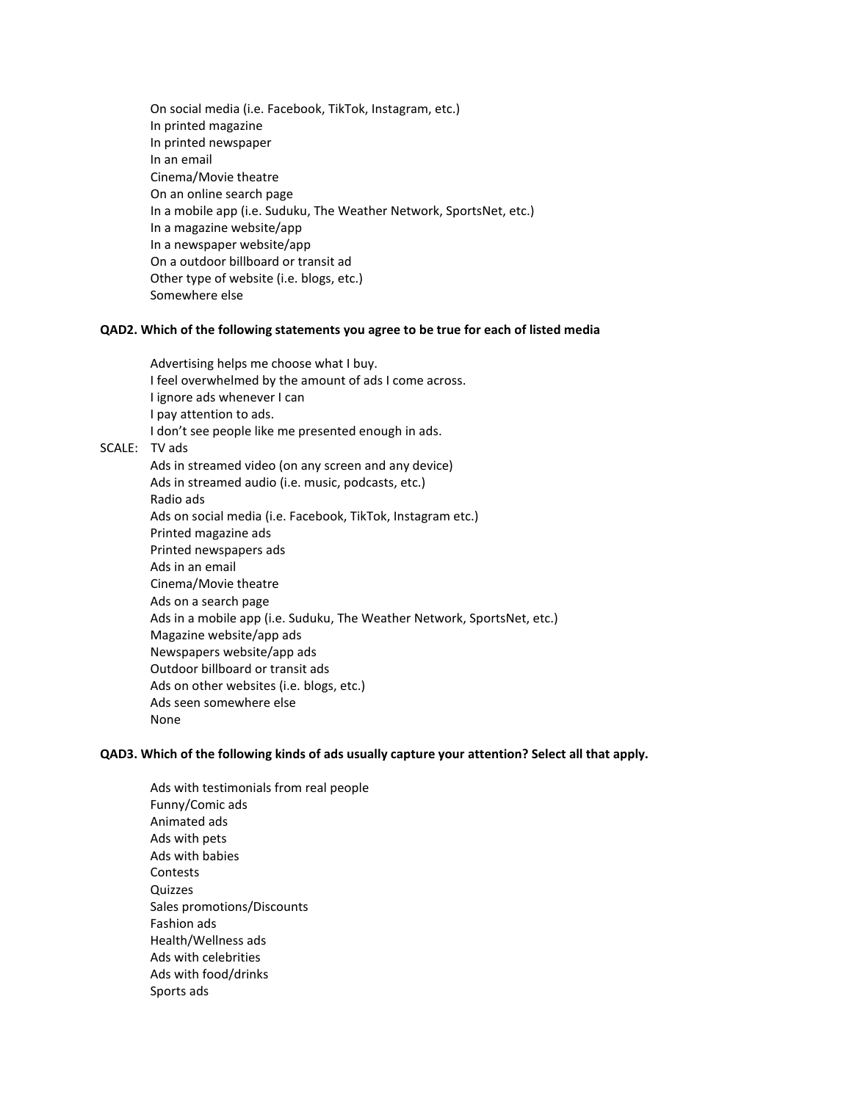On social media (i.e. Facebook, TikTok, Instagram, etc.) In printed magazine In printed newspaper In an email Cinema/Movie theatre On an online search page In a mobile app (i.e. Suduku, The Weather Network, SportsNet, etc.) In a magazine website/app In a newspaper website/app On a outdoor billboard or transit ad Other type of website (i.e. blogs, etc.) Somewhere else

#### **QAD2. Which of the following statements you agree to be true for each of listed media**

Advertising helps me choose what I buy. I feel overwhelmed by the amount of ads I come across. I ignore ads whenever I can I pay attention to ads. I don't see people like me presented enough in ads. SCALE: TV ads Ads in streamed video (on any screen and any device) Ads in streamed audio (i.e. music, podcasts, etc.) Radio ads Ads on social media (i.e. Facebook, TikTok, Instagram etc.) Printed magazine ads Printed newspapers ads Ads in an email Cinema/Movie theatre Ads on a search page Ads in a mobile app (i.e. Suduku, The Weather Network, SportsNet, etc.) Magazine website/app ads Newspapers website/app ads Outdoor billboard or transit ads Ads on other websites (i.e. blogs, etc.) Ads seen somewhere else None

#### **QAD3. Which of the following kinds of ads usually capture your attention? Select all that apply.**

Ads with testimonials from real people Funny/Comic ads Animated ads Ads with pets Ads with babies **Contests** Quizzes Sales promotions/Discounts Fashion ads Health/Wellness ads Ads with celebrities Ads with food/drinks Sports ads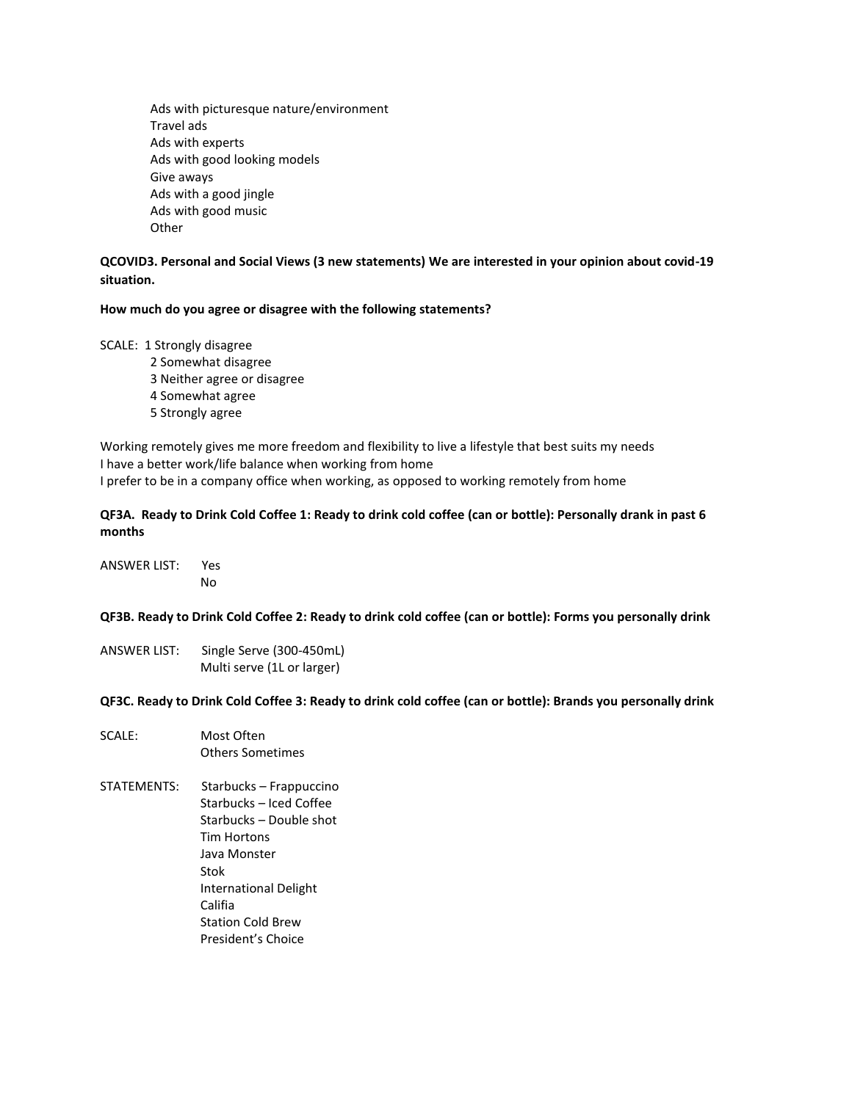Ads with picturesque nature/environment Travel ads Ads with experts Ads with good looking models Give aways Ads with a good jingle Ads with good music **Other** 

# **QCOVID3. Personal and Social Views (3 new statements) We are interested in your opinion about covid-19 situation.**

### **How much do you agree or disagree with the following statements?**

#### SCALE: 1 Strongly disagree

- 2 Somewhat disagree
	- 3 Neither agree or disagree
	- 4 Somewhat agree
	- 5 Strongly agree

Working remotely gives me more freedom and flexibility to live a lifestyle that best suits my needs I have a better work/life balance when working from home I prefer to be in a company office when working, as opposed to working remotely from home

## **QF3A. Ready to Drink Cold Coffee 1: Ready to drink cold coffee (can or bottle): Personally drank in past 6 months**

ANSWER LIST: Yes No

#### **QF3B. Ready to Drink Cold Coffee 2: Ready to drink cold coffee (can or bottle): Forms you personally drink**

ANSWER LIST: Single Serve (300-450mL) Multi serve (1L or larger)

**QF3C. Ready to Drink Cold Coffee 3: Ready to drink cold coffee (can or bottle): Brands you personally drink**

- SCALE: Most Often Others Sometimes
- STATEMENTS: Starbucks Frappuccino Starbucks – Iced Coffee Starbucks – Double shot Tim Hortons Java Monster Stok International Delight Califia Station Cold Brew President's Choice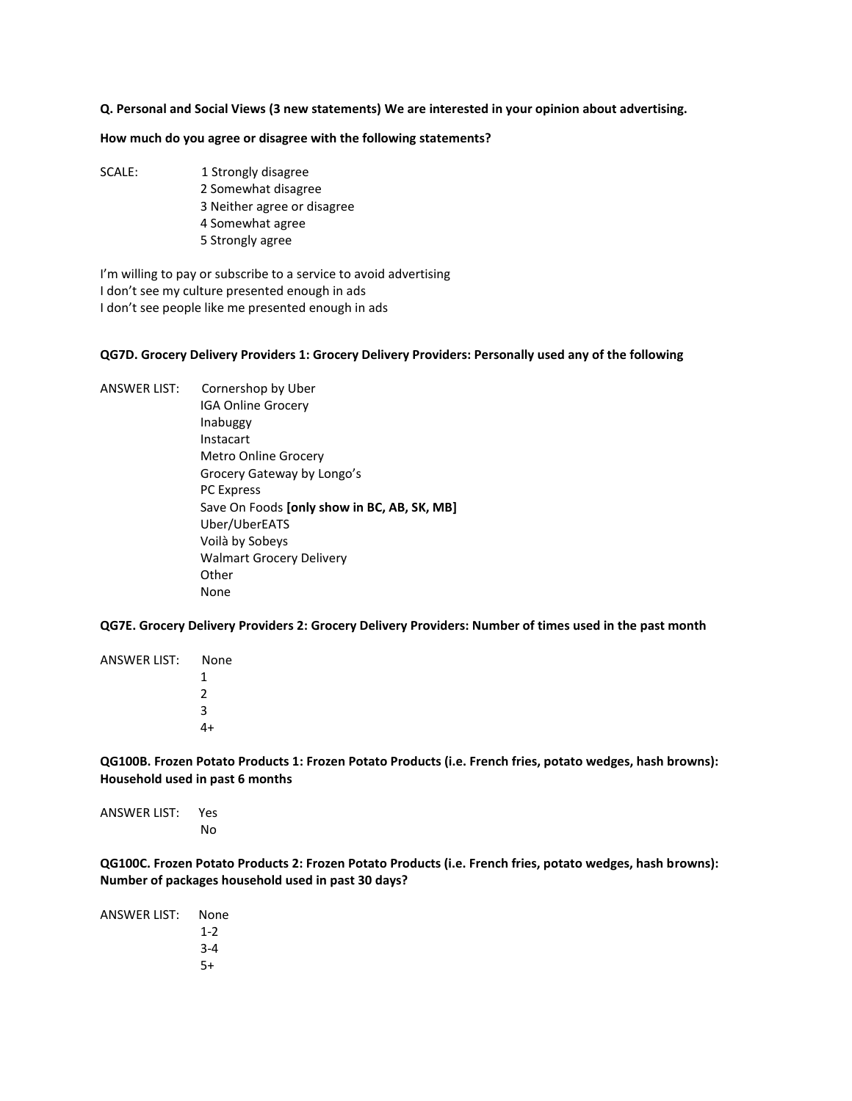**Q. Personal and Social Views (3 new statements) We are interested in your opinion about advertising.**

**How much do you agree or disagree with the following statements?**

- SCALE: 1 Strongly disagree 2 Somewhat disagree
	- 3 Neither agree or disagree
	- 4 Somewhat agree
	- 5 Strongly agree

I'm willing to pay or subscribe to a service to avoid advertising I don't see my culture presented enough in ads I don't see people like me presented enough in ads

#### **QG7D. Grocery Delivery Providers 1: Grocery Delivery Providers: Personally used any of the following**

ANSWER LIST: Cornershop by Uber IGA Online Grocery Inabuggy Instacart Metro Online Grocery Grocery Gateway by Longo's PC Express Save On Foods **[only show in BC, AB, SK, MB]** Uber/UberEATS Voilà by Sobeys Walmart Grocery Delivery Other None

**QG7E. Grocery Delivery Providers 2: Grocery Delivery Providers: Number of times used in the past month**

ANSWER LIST: None 1 2 3 4+

**QG100B. Frozen Potato Products 1: Frozen Potato Products (i.e. French fries, potato wedges, hash browns): Household used in past 6 months**

ANSWER LIST: Yes No

**QG100C. Frozen Potato Products 2: Frozen Potato Products (i.e. French fries, potato wedges, hash browns): Number of packages household used in past 30 days?**

| ANSWER LIST: | None    |
|--------------|---------|
|              | $1 - 2$ |
|              | $3 - 4$ |
|              | 5+      |